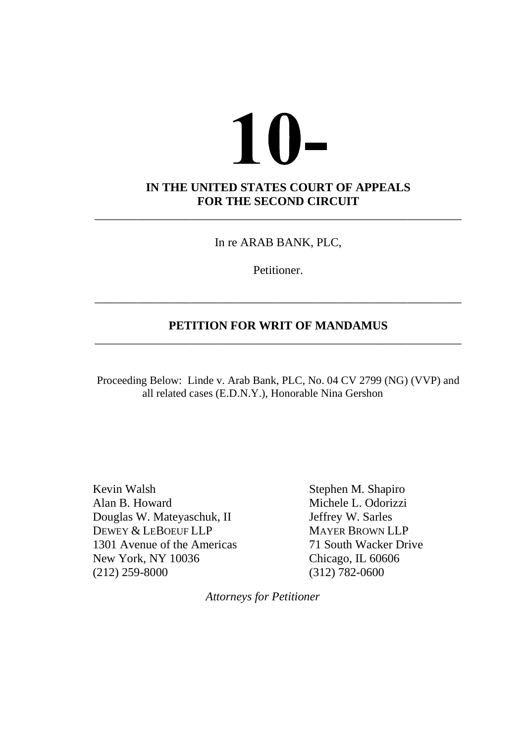# $10-$ **IN THE UNITED STATES COURT OF APPEALS FOR THE SECOND CIRCUIT** \_\_\_\_\_\_\_\_\_\_\_\_\_\_\_\_\_\_\_\_\_\_\_\_\_\_\_\_\_\_\_\_\_\_\_\_\_\_\_\_\_\_\_\_\_\_\_\_\_\_\_\_\_\_\_\_\_\_\_\_\_

In re ARAB BANK, PLC,

Petitioner.

# **PETITION FOR WRIT OF MANDAMUS** \_\_\_\_\_\_\_\_\_\_\_\_\_\_\_\_\_\_\_\_\_\_\_\_\_\_\_\_\_\_\_\_\_\_\_\_\_\_\_\_\_\_\_\_\_\_\_\_\_\_\_\_\_\_\_\_\_\_\_\_\_

\_\_\_\_\_\_\_\_\_\_\_\_\_\_\_\_\_\_\_\_\_\_\_\_\_\_\_\_\_\_\_\_\_\_\_\_\_\_\_\_\_\_\_\_\_\_\_\_\_\_\_\_\_\_\_\_\_\_\_\_\_

Proceeding Below: Linde v. Arab Bank, PLC, No. 04 CV 2799 (NG) (VVP) and all related cases (E.D.N.Y.), Honorable Nina Gershon

Kevin Walsh Stephen M. Shapiro Alan B. Howard Michele L. Odorizzi Douglas W. Mateyaschuk, II Jeffrey W. Sarles DEWEY & LEBOEUF LLP MAYER BROWN LLP 1301 Avenue of the Americas 71 South Wacker Drive New York, NY 10036 Chicago, IL 60606 (212) 259-8000 (312) 782-0600

*Attorneys for Petitioner*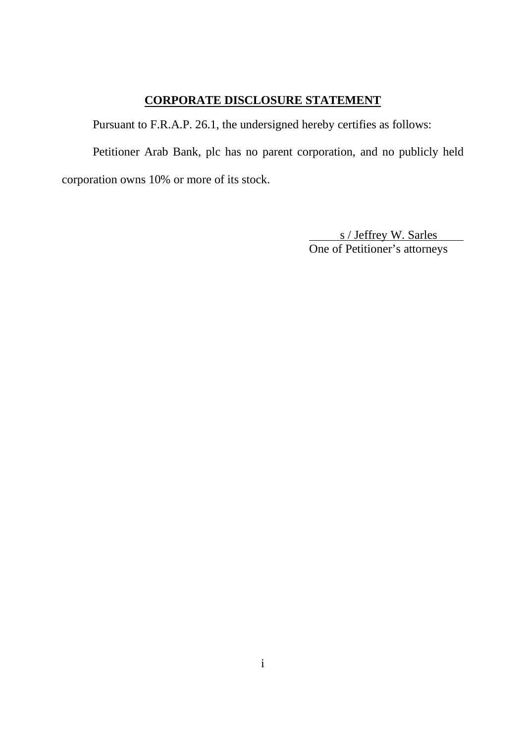# **CORPORATE DISCLOSURE STATEMENT**

Pursuant to F.R.A.P. 26.1, the undersigned hereby certifies as follows:

Petitioner Arab Bank, plc has no parent corporation, and no publicly held corporation owns 10% or more of its stock.

> s / Jeffrey W. Sarles One of Petitioner's attorneys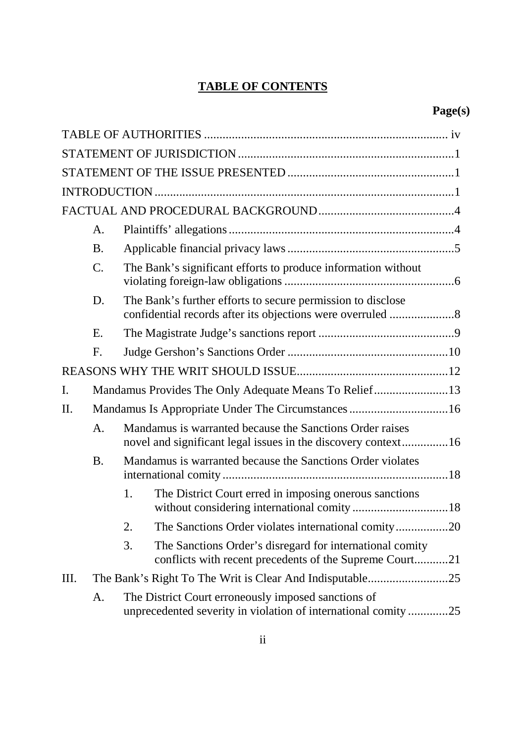# **TABLE OF CONTENTS**

|     | А.              |    |                                                                                                                           |  |  |  |
|-----|-----------------|----|---------------------------------------------------------------------------------------------------------------------------|--|--|--|
|     | <b>B.</b>       |    |                                                                                                                           |  |  |  |
|     | $\mathcal{C}$ . |    | The Bank's significant efforts to produce information without                                                             |  |  |  |
|     | D.              |    | The Bank's further efforts to secure permission to disclose                                                               |  |  |  |
|     | Ε.              |    |                                                                                                                           |  |  |  |
|     | F.              |    |                                                                                                                           |  |  |  |
|     |                 |    |                                                                                                                           |  |  |  |
| I.  |                 |    | Mandamus Provides The Only Adequate Means To Relief13                                                                     |  |  |  |
| II. |                 |    | Mandamus Is Appropriate Under The Circumstances  16                                                                       |  |  |  |
|     | A.              |    | Mandamus is warranted because the Sanctions Order raises<br>novel and significant legal issues in the discovery context16 |  |  |  |
|     | <b>B.</b>       |    | Mandamus is warranted because the Sanctions Order violates                                                                |  |  |  |
|     |                 | 1. | The District Court erred in imposing onerous sanctions                                                                    |  |  |  |
|     |                 | 2. | The Sanctions Order violates international comity20                                                                       |  |  |  |
|     |                 | 3. | The Sanctions Order's disregard for international comity<br>conflicts with recent precedents of the Supreme Court21       |  |  |  |
| Ш.  |                 |    | .25                                                                                                                       |  |  |  |
|     | A.              |    | The District Court erroneously imposed sanctions of<br>unprecedented severity in violation of international comity25      |  |  |  |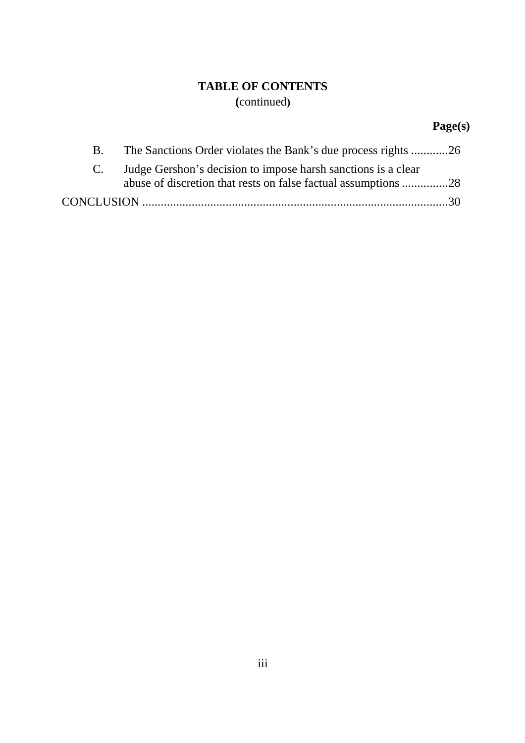# **TABLE OF CONTENTS (**continued**)**

# **Page(s)**

| $\bf{B}$ .   | The Sanctions Order violates the Bank's due process rights 26 |
|--------------|---------------------------------------------------------------|
| $\mathbf{C}$ | Judge Gershon's decision to impose harsh sanctions is a clear |
|              |                                                               |
|              |                                                               |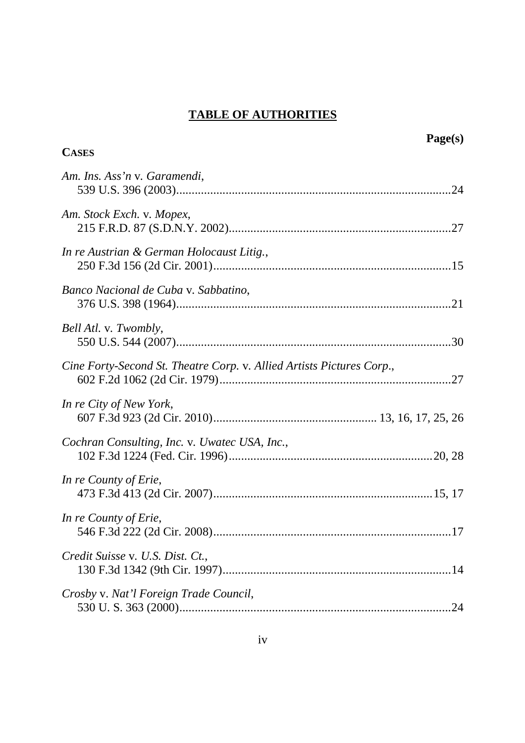# **TABLE OF AUTHORITIES**

| <b>CASES</b>                                                          | Page(s) |
|-----------------------------------------------------------------------|---------|
|                                                                       |         |
| Am. Ins. Ass'n v. Garamendi,                                          |         |
| Am. Stock Exch. v. Mopex,                                             |         |
| In re Austrian & German Holocaust Litig.,                             |         |
| Banco Nacional de Cuba v. Sabbatino,                                  |         |
| Bell Atl. v. Twombly,                                                 |         |
| Cine Forty-Second St. Theatre Corp. v. Allied Artists Pictures Corp., |         |
| In re City of New York,                                               |         |
| Cochran Consulting, Inc. v. Uwatec USA, Inc.,                         |         |
| In re County of Erie,                                                 |         |
| In re County of Erie,                                                 |         |
| Credit Suisse v. U.S. Dist. Ct.,                                      |         |
| Crosby v. Nat'l Foreign Trade Council,                                |         |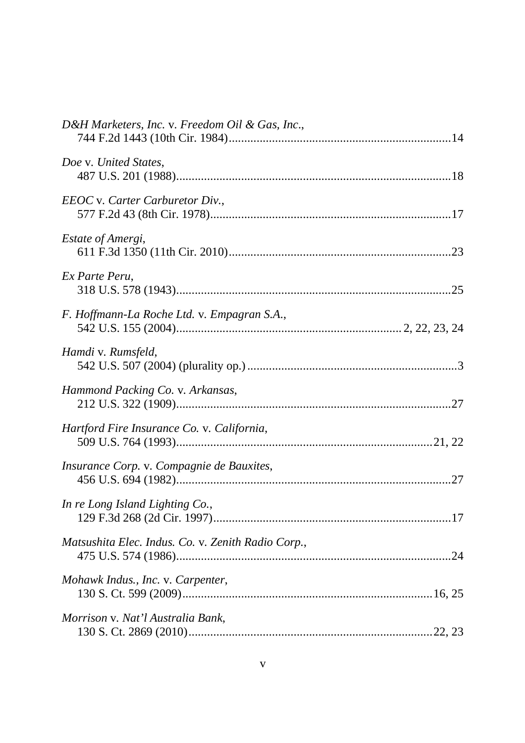| D&H Marketers, Inc. v. Freedom Oil & Gas, Inc.,    |  |
|----------------------------------------------------|--|
| Doe v. United States,                              |  |
| EEOC v. Carter Carburetor Div.,                    |  |
| Estate of Amergi,                                  |  |
| Ex Parte Peru,                                     |  |
| F. Hoffmann-La Roche Ltd. v. Empagran S.A.,        |  |
| Hamdi v. Rumsfeld,                                 |  |
| Hammond Packing Co. v. Arkansas,                   |  |
| Hartford Fire Insurance Co. v. California,         |  |
| Insurance Corp. v. Compagnie de Bauxites,          |  |
| In re Long Island Lighting Co.,                    |  |
| Matsushita Elec. Indus. Co. v. Zenith Radio Corp., |  |
| Mohawk Indus., Inc. v. Carpenter,                  |  |
| Morrison v. Nat'l Australia Bank,                  |  |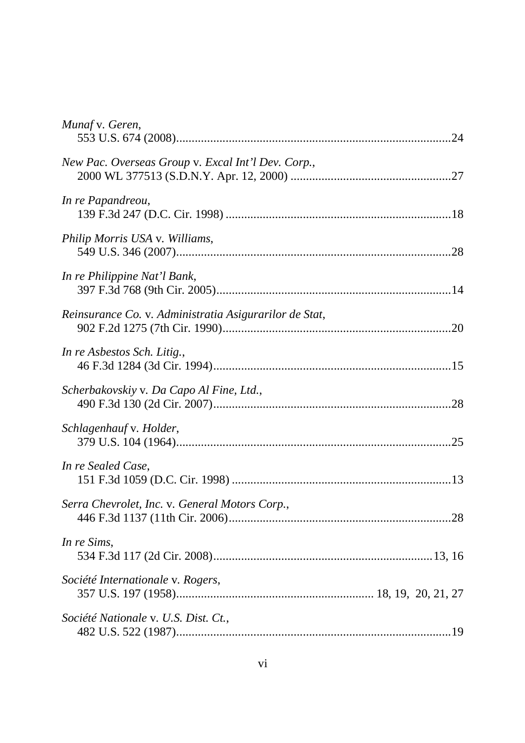| Munaf v. Geren,                                        |
|--------------------------------------------------------|
| New Pac. Overseas Group v. Excal Int'l Dev. Corp.,     |
| In re Papandreou,                                      |
| Philip Morris USA v. Williams,                         |
| In re Philippine Nat'l Bank,                           |
| Reinsurance Co. v. Administratia Asigurarilor de Stat, |
| In re Asbestos Sch. Litig.,                            |
| Scherbakovskiy v. Da Capo Al Fine, Ltd.,               |
| Schlagenhauf v. Holder,                                |
| In re Sealed Case,                                     |
| Serra Chevrolet, Inc. v. General Motors Corp.,         |
| In re Sims,                                            |
| Société Internationale v. Rogers,                      |
| Société Nationale v. U.S. Dist. Ct.,                   |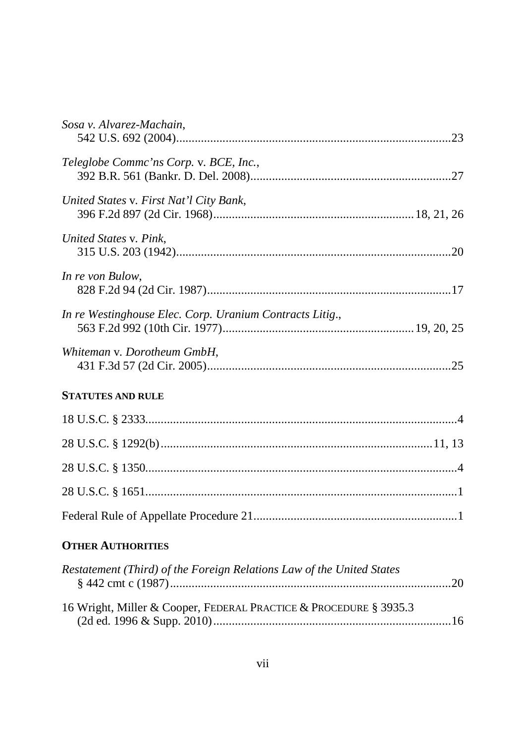| Sosa v. Alvarez-Machain,                                              |
|-----------------------------------------------------------------------|
| Teleglobe Commc'ns Corp. v. BCE, Inc.,                                |
| United States v. First Nat'l City Bank,                               |
| United States v. Pink,                                                |
| In re von Bulow,                                                      |
| In re Westinghouse Elec. Corp. Uranium Contracts Litig.,              |
| Whiteman v. Dorotheum GmbH,                                           |
| <b>STATUTES AND RULE</b>                                              |
|                                                                       |
|                                                                       |
|                                                                       |
|                                                                       |
|                                                                       |
| <b>OTHER AUTHORITIES</b>                                              |
| Restatement (Third) of the Foreign Relations Law of the United States |
| 16 Wright, Miller & Cooper, FEDERAL PRACTICE & PROCEDURE § 3935.3     |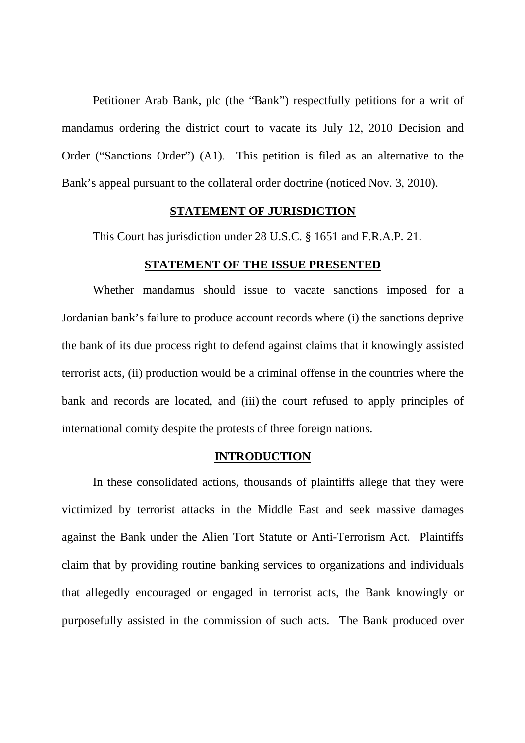Petitioner Arab Bank, plc (the "Bank") respectfully petitions for a writ of mandamus ordering the district court to vacate its July 12, 2010 Decision and Order ("Sanctions Order") (A1). This petition is filed as an alternative to the Bank's appeal pursuant to the collateral order doctrine (noticed Nov. 3, 2010).

#### **STATEMENT OF JURISDICTION**

This Court has jurisdiction under 28 U.S.C. § 1651 and F.R.A.P. 21.

#### **STATEMENT OF THE ISSUE PRESENTED**

Whether mandamus should issue to vacate sanctions imposed for a Jordanian bank's failure to produce account records where (i) the sanctions deprive the bank of its due process right to defend against claims that it knowingly assisted terrorist acts, (ii) production would be a criminal offense in the countries where the bank and records are located, and (iii) the court refused to apply principles of international comity despite the protests of three foreign nations.

#### **INTRODUCTION**

In these consolidated actions, thousands of plaintiffs allege that they were victimized by terrorist attacks in the Middle East and seek massive damages against the Bank under the Alien Tort Statute or Anti-Terrorism Act. Plaintiffs claim that by providing routine banking services to organizations and individuals that allegedly encouraged or engaged in terrorist acts, the Bank knowingly or purposefully assisted in the commission of such acts. The Bank produced over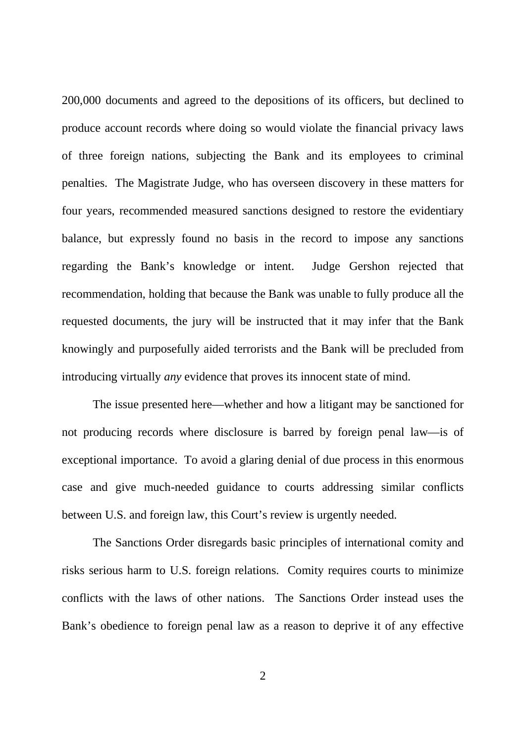200,000 documents and agreed to the depositions of its officers, but declined to produce account records where doing so would violate the financial privacy laws of three foreign nations, subjecting the Bank and its employees to criminal penalties. The Magistrate Judge, who has overseen discovery in these matters for four years, recommended measured sanctions designed to restore the evidentiary balance, but expressly found no basis in the record to impose any sanctions regarding the Bank's knowledge or intent. Judge Gershon rejected that recommendation, holding that because the Bank was unable to fully produce all the requested documents, the jury will be instructed that it may infer that the Bank knowingly and purposefully aided terrorists and the Bank will be precluded from introducing virtually *any* evidence that proves its innocent state of mind.

The issue presented here—whether and how a litigant may be sanctioned for not producing records where disclosure is barred by foreign penal law—is of exceptional importance. To avoid a glaring denial of due process in this enormous case and give much-needed guidance to courts addressing similar conflicts between U.S. and foreign law, this Court's review is urgently needed.

The Sanctions Order disregards basic principles of international comity and risks serious harm to U.S. foreign relations. Comity requires courts to minimize conflicts with the laws of other nations. The Sanctions Order instead uses the Bank's obedience to foreign penal law as a reason to deprive it of any effective

2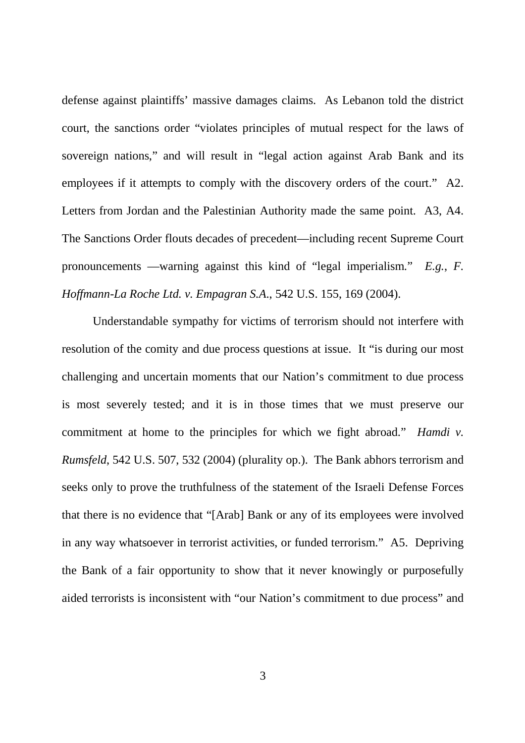defense against plaintiffs' massive damages claims. As Lebanon told the district court, the sanctions order "violates principles of mutual respect for the laws of sovereign nations," and will result in "legal action against Arab Bank and its employees if it attempts to comply with the discovery orders of the court." A2. Letters from Jordan and the Palestinian Authority made the same point. A3, A4. The Sanctions Order flouts decades of precedent—including recent Supreme Court pronouncements —warning against this kind of "legal imperialism." *E.g.*, *F. Hoffmann-La Roche Ltd. v. Empagran S.A*., 542 U.S. 155, 169 (2004).

Understandable sympathy for victims of terrorism should not interfere with resolution of the comity and due process questions at issue. It "is during our most challenging and uncertain moments that our Nation's commitment to due process is most severely tested; and it is in those times that we must preserve our commitment at home to the principles for which we fight abroad." *Hamdi v. Rumsfeld*, 542 U.S. 507, 532 (2004) (plurality op.). The Bank abhors terrorism and seeks only to prove the truthfulness of the statement of the Israeli Defense Forces that there is no evidence that "[Arab] Bank or any of its employees were involved in any way whatsoever in terrorist activities, or funded terrorism." A5. Depriving the Bank of a fair opportunity to show that it never knowingly or purposefully aided terrorists is inconsistent with "our Nation's commitment to due process" and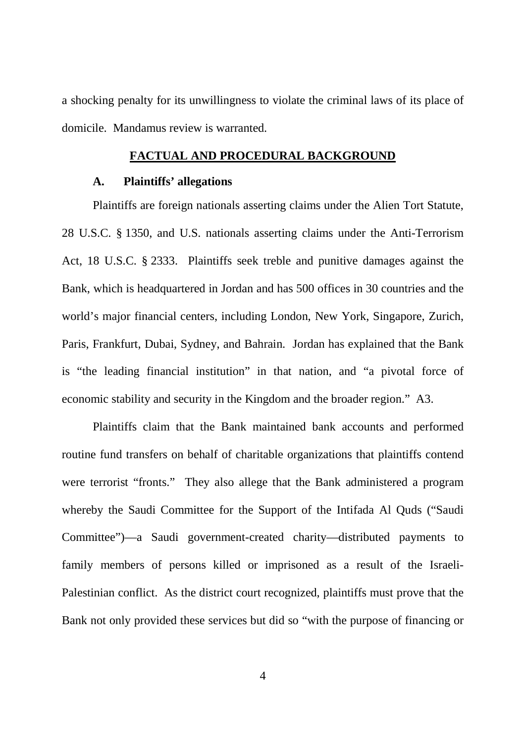a shocking penalty for its unwillingness to violate the criminal laws of its place of domicile. Mandamus review is warranted.

#### **FACTUAL AND PROCEDURAL BACKGROUND**

#### **A. Plaintiffs' allegations**

Plaintiffs are foreign nationals asserting claims under the Alien Tort Statute, 28 U.S.C. § 1350, and U.S. nationals asserting claims under the Anti-Terrorism Act, 18 U.S.C. § 2333. Plaintiffs seek treble and punitive damages against the Bank, which is headquartered in Jordan and has 500 offices in 30 countries and the world's major financial centers, including London, New York, Singapore, Zurich, Paris, Frankfurt, Dubai, Sydney, and Bahrain. Jordan has explained that the Bank is "the leading financial institution" in that nation, and "a pivotal force of economic stability and security in the Kingdom and the broader region." A3.

Plaintiffs claim that the Bank maintained bank accounts and performed routine fund transfers on behalf of charitable organizations that plaintiffs contend were terrorist "fronts." They also allege that the Bank administered a program whereby the Saudi Committee for the Support of the Intifada Al Quds ("Saudi Committee")—a Saudi government-created charity—distributed payments to family members of persons killed or imprisoned as a result of the Israeli-Palestinian conflict. As the district court recognized, plaintiffs must prove that the Bank not only provided these services but did so "with the purpose of financing or

4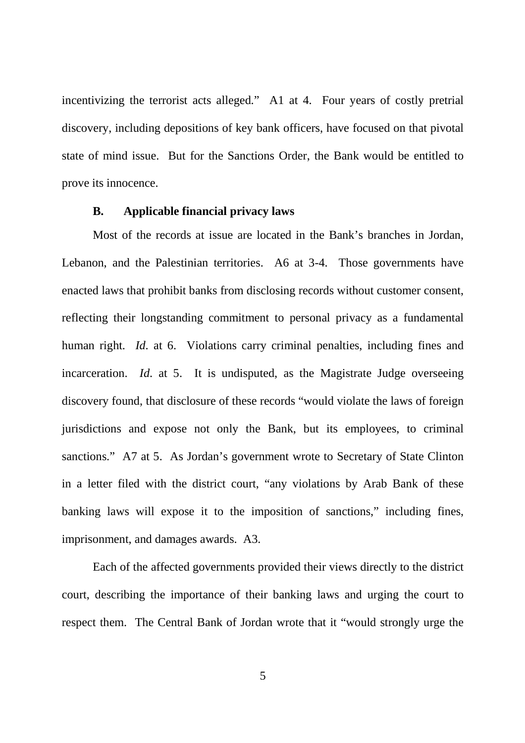incentivizing the terrorist acts alleged." A1 at 4. Four years of costly pretrial discovery, including depositions of key bank officers, have focused on that pivotal state of mind issue. But for the Sanctions Order, the Bank would be entitled to prove its innocence.

#### **B. Applicable financial privacy laws**

Most of the records at issue are located in the Bank's branches in Jordan, Lebanon, and the Palestinian territories. A6 at 3-4. Those governments have enacted laws that prohibit banks from disclosing records without customer consent, reflecting their longstanding commitment to personal privacy as a fundamental human right. *Id.* at 6. Violations carry criminal penalties, including fines and incarceration. *Id*. at 5. It is undisputed, as the Magistrate Judge overseeing discovery found, that disclosure of these records "would violate the laws of foreign jurisdictions and expose not only the Bank, but its employees, to criminal sanctions." A7 at 5. As Jordan's government wrote to Secretary of State Clinton in a letter filed with the district court, "any violations by Arab Bank of these banking laws will expose it to the imposition of sanctions," including fines, imprisonment, and damages awards. A3.

Each of the affected governments provided their views directly to the district court, describing the importance of their banking laws and urging the court to respect them. The Central Bank of Jordan wrote that it "would strongly urge the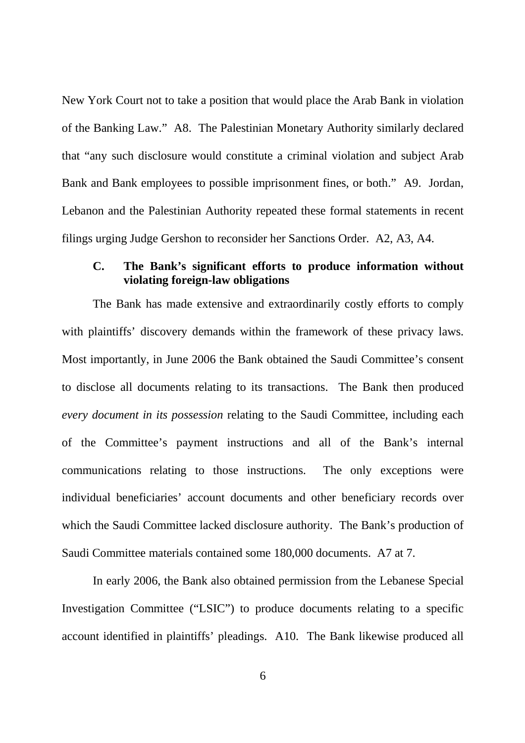New York Court not to take a position that would place the Arab Bank in violation of the Banking Law." A8. The Palestinian Monetary Authority similarly declared that "any such disclosure would constitute a criminal violation and subject Arab Bank and Bank employees to possible imprisonment fines, or both." A9. Jordan, Lebanon and the Palestinian Authority repeated these formal statements in recent filings urging Judge Gershon to reconsider her Sanctions Order. A2, A3, A4.

# **C. The Bank's significant efforts to produce information without violating foreign-law obligations**

The Bank has made extensive and extraordinarily costly efforts to comply with plaintiffs' discovery demands within the framework of these privacy laws. Most importantly, in June 2006 the Bank obtained the Saudi Committee's consent to disclose all documents relating to its transactions. The Bank then produced *every document in its possession* relating to the Saudi Committee, including each of the Committee's payment instructions and all of the Bank's internal communications relating to those instructions. The only exceptions were individual beneficiaries' account documents and other beneficiary records over which the Saudi Committee lacked disclosure authority. The Bank's production of Saudi Committee materials contained some 180,000 documents. A7 at 7.

In early 2006, the Bank also obtained permission from the Lebanese Special Investigation Committee ("LSIC") to produce documents relating to a specific account identified in plaintiffs' pleadings. A10. The Bank likewise produced all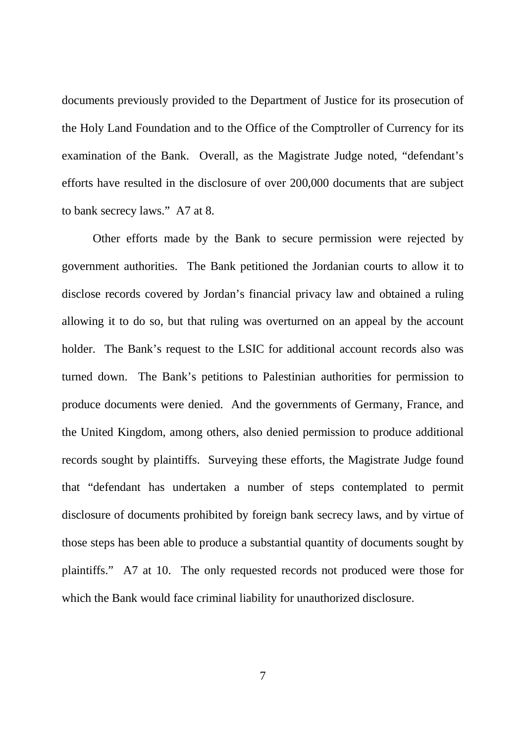documents previously provided to the Department of Justice for its prosecution of the Holy Land Foundation and to the Office of the Comptroller of Currency for its examination of the Bank. Overall, as the Magistrate Judge noted, "defendant's efforts have resulted in the disclosure of over 200,000 documents that are subject to bank secrecy laws." A7 at 8.

Other efforts made by the Bank to secure permission were rejected by government authorities. The Bank petitioned the Jordanian courts to allow it to disclose records covered by Jordan's financial privacy law and obtained a ruling allowing it to do so, but that ruling was overturned on an appeal by the account holder. The Bank's request to the LSIC for additional account records also was turned down. The Bank's petitions to Palestinian authorities for permission to produce documents were denied. And the governments of Germany, France, and the United Kingdom, among others, also denied permission to produce additional records sought by plaintiffs. Surveying these efforts, the Magistrate Judge found that "defendant has undertaken a number of steps contemplated to permit disclosure of documents prohibited by foreign bank secrecy laws, and by virtue of those steps has been able to produce a substantial quantity of documents sought by plaintiffs." A7 at 10. The only requested records not produced were those for which the Bank would face criminal liability for unauthorized disclosure.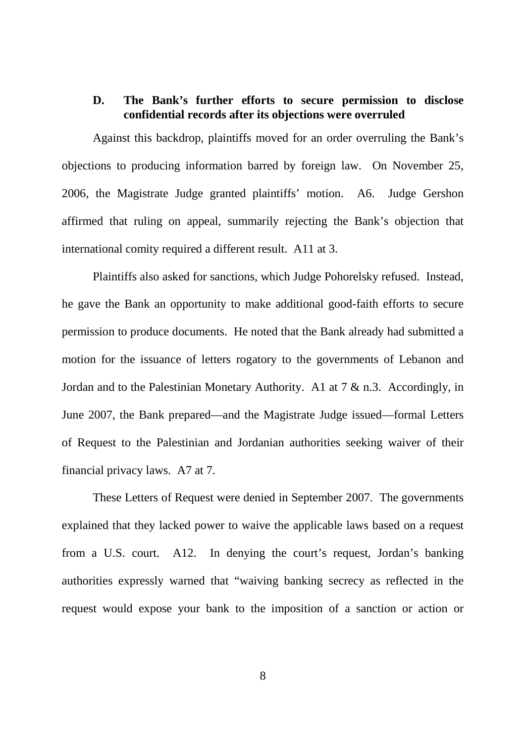# **D. The Bank's further efforts to secure permission to disclose confidential records after its objections were overruled**

Against this backdrop, plaintiffs moved for an order overruling the Bank's objections to producing information barred by foreign law. On November 25, 2006, the Magistrate Judge granted plaintiffs' motion. A6. Judge Gershon affirmed that ruling on appeal, summarily rejecting the Bank's objection that international comity required a different result. A11 at 3.

Plaintiffs also asked for sanctions, which Judge Pohorelsky refused. Instead, he gave the Bank an opportunity to make additional good-faith efforts to secure permission to produce documents. He noted that the Bank already had submitted a motion for the issuance of letters rogatory to the governments of Lebanon and Jordan and to the Palestinian Monetary Authority. A1 at 7 & n.3. Accordingly, in June 2007, the Bank prepared—and the Magistrate Judge issued—formal Letters of Request to the Palestinian and Jordanian authorities seeking waiver of their financial privacy laws. A7 at 7.

These Letters of Request were denied in September 2007. The governments explained that they lacked power to waive the applicable laws based on a request from a U.S. court. A12. In denying the court's request, Jordan's banking authorities expressly warned that "waiving banking secrecy as reflected in the request would expose your bank to the imposition of a sanction or action or

8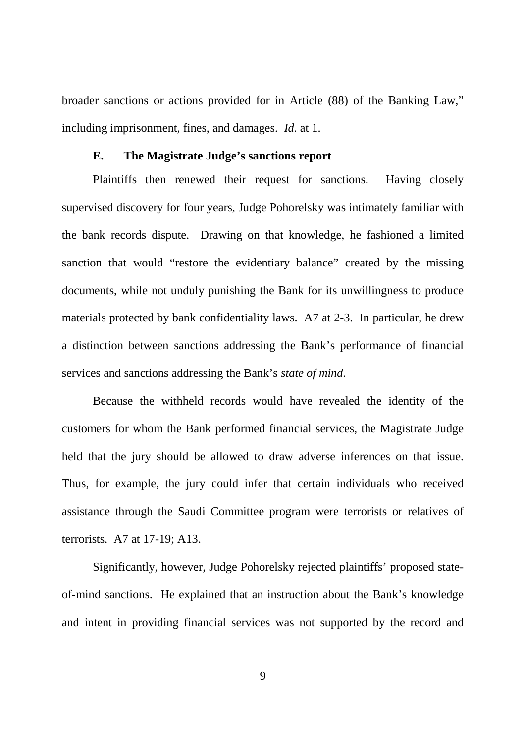broader sanctions or actions provided for in Article (88) of the Banking Law," including imprisonment, fines, and damages. *Id*. at 1.

#### **E. The Magistrate Judge's sanctions report**

Plaintiffs then renewed their request for sanctions. Having closely supervised discovery for four years, Judge Pohorelsky was intimately familiar with the bank records dispute. Drawing on that knowledge, he fashioned a limited sanction that would "restore the evidentiary balance" created by the missing documents, while not unduly punishing the Bank for its unwillingness to produce materials protected by bank confidentiality laws. A7 at 2-3. In particular, he drew a distinction between sanctions addressing the Bank's performance of financial services and sanctions addressing the Bank's *state of mind*.

Because the withheld records would have revealed the identity of the customers for whom the Bank performed financial services, the Magistrate Judge held that the jury should be allowed to draw adverse inferences on that issue. Thus, for example, the jury could infer that certain individuals who received assistance through the Saudi Committee program were terrorists or relatives of terrorists. A7 at 17-19; A13.

Significantly, however, Judge Pohorelsky rejected plaintiffs' proposed stateof-mind sanctions. He explained that an instruction about the Bank's knowledge and intent in providing financial services was not supported by the record and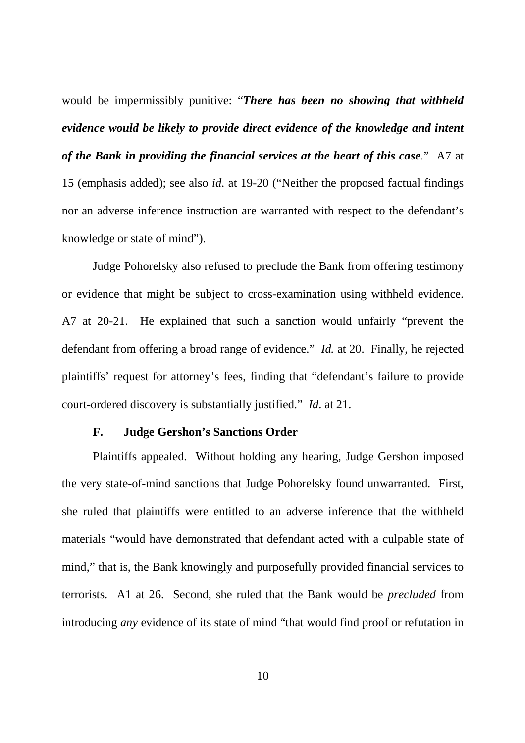would be impermissibly punitive: "*There has been no showing that withheld evidence would be likely to provide direct evidence of the knowledge and intent of the Bank in providing the financial services at the heart of this case*." A7 at

15 (emphasis added); see also *id*. at 19-20 ("Neither the proposed factual findings nor an adverse inference instruction are warranted with respect to the defendant's knowledge or state of mind").

Judge Pohorelsky also refused to preclude the Bank from offering testimony or evidence that might be subject to cross-examination using withheld evidence. A7 at 20-21. He explained that such a sanction would unfairly "prevent the defendant from offering a broad range of evidence." *Id.* at 20. Finally, he rejected plaintiffs' request for attorney's fees, finding that "defendant's failure to provide court-ordered discovery is substantially justified." *Id*. at 21.

#### **F. Judge Gershon's Sanctions Order**

Plaintiffs appealed. Without holding any hearing, Judge Gershon imposed the very state-of-mind sanctions that Judge Pohorelsky found unwarranted. First, she ruled that plaintiffs were entitled to an adverse inference that the withheld materials "would have demonstrated that defendant acted with a culpable state of mind," that is, the Bank knowingly and purposefully provided financial services to terrorists. A1 at 26. Second, she ruled that the Bank would be *precluded* from introducing *any* evidence of its state of mind "that would find proof or refutation in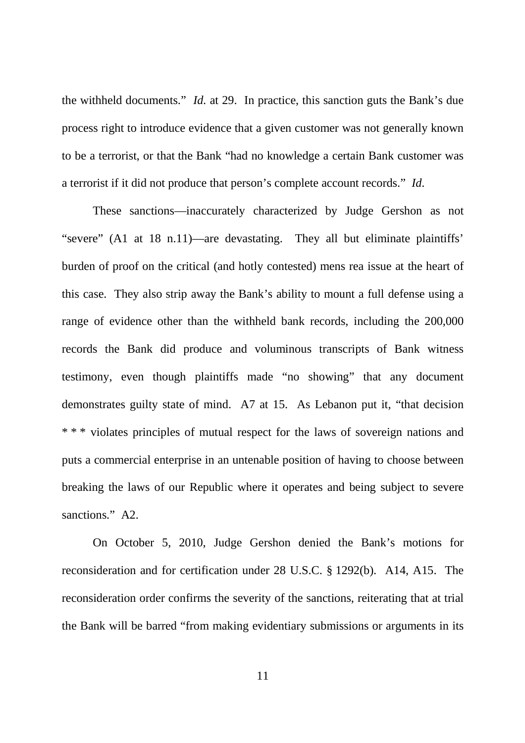the withheld documents." *Id*. at 29. In practice, this sanction guts the Bank's due process right to introduce evidence that a given customer was not generally known to be a terrorist, or that the Bank "had no knowledge a certain Bank customer was a terrorist if it did not produce that person's complete account records." *Id*.

These sanctions—inaccurately characterized by Judge Gershon as not "severe" (A1 at 18 n.11)—are devastating. They all but eliminate plaintiffs' burden of proof on the critical (and hotly contested) mens rea issue at the heart of this case. They also strip away the Bank's ability to mount a full defense using a range of evidence other than the withheld bank records, including the 200,000 records the Bank did produce and voluminous transcripts of Bank witness testimony, even though plaintiffs made "no showing" that any document demonstrates guilty state of mind. A7 at 15. As Lebanon put it, "that decision \* \* \* violates principles of mutual respect for the laws of sovereign nations and puts a commercial enterprise in an untenable position of having to choose between breaking the laws of our Republic where it operates and being subject to severe sanctions." A2.

On October 5, 2010, Judge Gershon denied the Bank's motions for reconsideration and for certification under 28 U.S.C. § 1292(b). A14, A15. The reconsideration order confirms the severity of the sanctions, reiterating that at trial the Bank will be barred "from making evidentiary submissions or arguments in its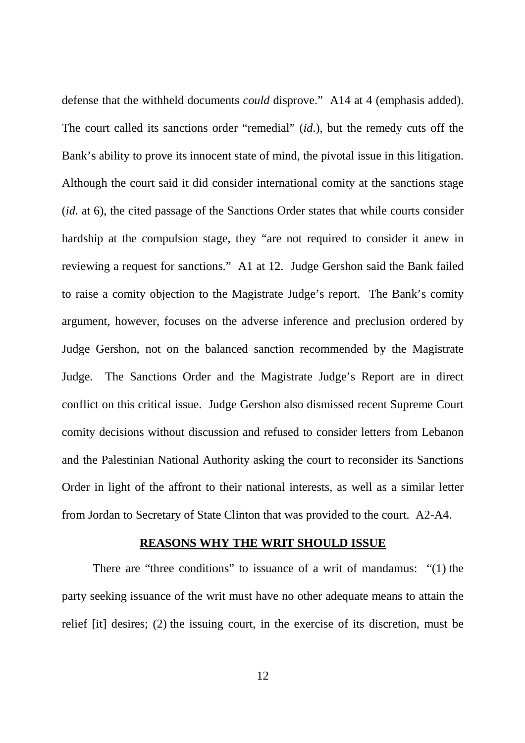defense that the withheld documents *could* disprove." A14 at 4 (emphasis added). The court called its sanctions order "remedial" (*id*.), but the remedy cuts off the Bank's ability to prove its innocent state of mind, the pivotal issue in this litigation. Although the court said it did consider international comity at the sanctions stage (*id*. at 6), the cited passage of the Sanctions Order states that while courts consider hardship at the compulsion stage, they "are not required to consider it anew in reviewing a request for sanctions." A1 at 12. Judge Gershon said the Bank failed to raise a comity objection to the Magistrate Judge's report. The Bank's comity argument, however, focuses on the adverse inference and preclusion ordered by Judge Gershon, not on the balanced sanction recommended by the Magistrate Judge. The Sanctions Order and the Magistrate Judge's Report are in direct conflict on this critical issue. Judge Gershon also dismissed recent Supreme Court comity decisions without discussion and refused to consider letters from Lebanon and the Palestinian National Authority asking the court to reconsider its Sanctions Order in light of the affront to their national interests, as well as a similar letter from Jordan to Secretary of State Clinton that was provided to the court. A2-A4.

#### **REASONS WHY THE WRIT SHOULD ISSUE**

There are "three conditions" to issuance of a writ of mandamus: "(1) the party seeking issuance of the writ must have no other adequate means to attain the relief [it] desires; (2) the issuing court, in the exercise of its discretion, must be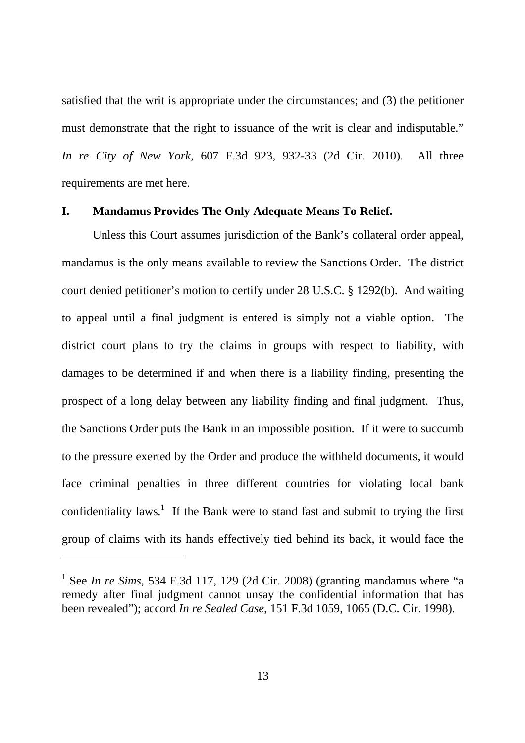satisfied that the writ is appropriate under the circumstances; and (3) the petitioner must demonstrate that the right to issuance of the writ is clear and indisputable." *In re City of New York*, 607 F.3d 923, 932-33 (2d Cir. 2010). All three requirements are met here.

#### **I. Mandamus Provides The Only Adequate Means To Relief.**

Unless this Court assumes jurisdiction of the Bank's collateral order appeal, mandamus is the only means available to review the Sanctions Order. The district court denied petitioner's motion to certify under 28 U.S.C. § 1292(b). And waiting to appeal until a final judgment is entered is simply not a viable option. The district court plans to try the claims in groups with respect to liability, with damages to be determined if and when there is a liability finding, presenting the prospect of a long delay between any liability finding and final judgment. Thus, the Sanctions Order puts the Bank in an impossible position. If it were to succumb to the pressure exerted by the Order and produce the withheld documents, it would face criminal penalties in three different countries for violating local bank confidentiality laws.<sup>1</sup> If the Bank were to stand fast and submit to trying the first group of claims with its hands effectively tied behind its back, it would face the

<sup>&</sup>lt;sup>1</sup> See *In re Sims*, 534 F.3d 117, 129 (2d Cir. 2008) (granting mandamus where "a remedy after final judgment cannot unsay the confidential information that has been revealed"); accord *In re Sealed Case*, 151 F.3d 1059, 1065 (D.C. Cir. 1998).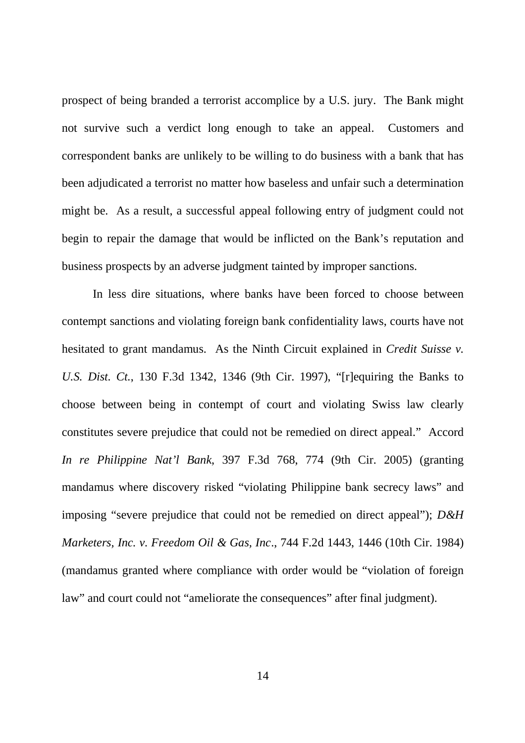prospect of being branded a terrorist accomplice by a U.S. jury. The Bank might not survive such a verdict long enough to take an appeal. Customers and correspondent banks are unlikely to be willing to do business with a bank that has been adjudicated a terrorist no matter how baseless and unfair such a determination might be. As a result, a successful appeal following entry of judgment could not begin to repair the damage that would be inflicted on the Bank's reputation and business prospects by an adverse judgment tainted by improper sanctions.

In less dire situations, where banks have been forced to choose between contempt sanctions and violating foreign bank confidentiality laws, courts have not hesitated to grant mandamus. As the Ninth Circuit explained in *Credit Suisse v. U.S. Dist. Ct.*, 130 F.3d 1342, 1346 (9th Cir. 1997), "[r]equiring the Banks to choose between being in contempt of court and violating Swiss law clearly constitutes severe prejudice that could not be remedied on direct appeal." Accord *In re Philippine Nat'l Bank*, 397 F.3d 768, 774 (9th Cir. 2005) (granting mandamus where discovery risked "violating Philippine bank secrecy laws" and imposing "severe prejudice that could not be remedied on direct appeal"); *D&H Marketers, Inc. v. Freedom Oil & Gas, Inc*., 744 F.2d 1443, 1446 (10th Cir. 1984) (mandamus granted where compliance with order would be "violation of foreign law" and court could not "ameliorate the consequences" after final judgment).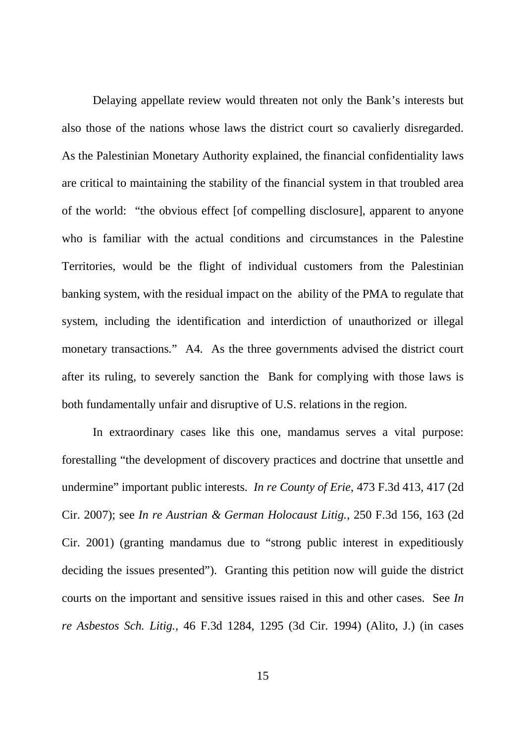Delaying appellate review would threaten not only the Bank's interests but also those of the nations whose laws the district court so cavalierly disregarded. As the Palestinian Monetary Authority explained, the financial confidentiality laws are critical to maintaining the stability of the financial system in that troubled area of the world: "the obvious effect [of compelling disclosure], apparent to anyone who is familiar with the actual conditions and circumstances in the Palestine Territories, would be the flight of individual customers from the Palestinian banking system, with the residual impact on the ability of the PMA to regulate that system, including the identification and interdiction of unauthorized or illegal monetary transactions." A4. As the three governments advised the district court after its ruling, to severely sanction the Bank for complying with those laws is both fundamentally unfair and disruptive of U.S. relations in the region.

In extraordinary cases like this one, mandamus serves a vital purpose: forestalling "the development of discovery practices and doctrine that unsettle and undermine" important public interests. *In re County of Erie*, 473 F.3d 413, 417 (2d Cir. 2007); see *In re Austrian & German Holocaust Litig.*, 250 F.3d 156, 163 (2d Cir. 2001) (granting mandamus due to "strong public interest in expeditiously deciding the issues presented"). Granting this petition now will guide the district courts on the important and sensitive issues raised in this and other cases. See *In re Asbestos Sch. Litig.*, 46 F.3d 1284, 1295 (3d Cir. 1994) (Alito, J.) (in cases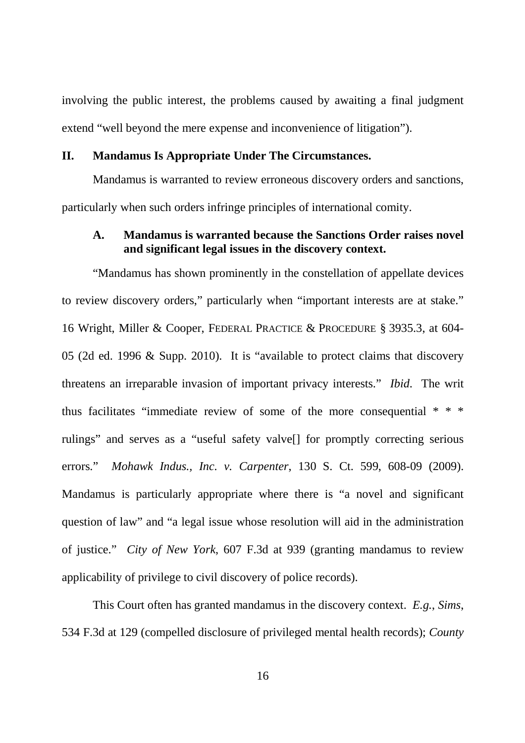involving the public interest, the problems caused by awaiting a final judgment extend "well beyond the mere expense and inconvenience of litigation").

## **II. Mandamus Is Appropriate Under The Circumstances.**

Mandamus is warranted to review erroneous discovery orders and sanctions, particularly when such orders infringe principles of international comity.

## **A. Mandamus is warranted because the Sanctions Order raises novel and significant legal issues in the discovery context.**

"Mandamus has shown prominently in the constellation of appellate devices to review discovery orders," particularly when "important interests are at stake." 16 Wright, Miller & Cooper, FEDERAL PRACTICE & PROCEDURE § 3935.3, at 604- 05 (2d ed. 1996 & Supp. 2010). It is "available to protect claims that discovery threatens an irreparable invasion of important privacy interests." *Ibid*. The writ thus facilitates "immediate review of some of the more consequential \* \* \* rulings" and serves as a "useful safety valve[] for promptly correcting serious errors." *Mohawk Indus., Inc. v. Carpenter*, 130 S. Ct. 599, 608-09 (2009). Mandamus is particularly appropriate where there is "a novel and significant question of law" and "a legal issue whose resolution will aid in the administration of justice." *City of New York*, 607 F.3d at 939 (granting mandamus to review applicability of privilege to civil discovery of police records).

This Court often has granted mandamus in the discovery context. *E.g.*, *Sims*, 534 F.3d at 129 (compelled disclosure of privileged mental health records); *County*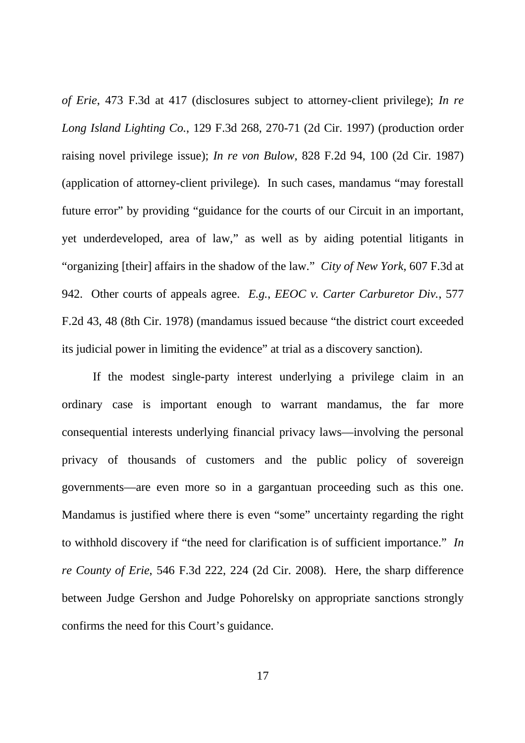*of Erie*, 473 F.3d at 417 (disclosures subject to attorney-client privilege); *In re Long Island Lighting Co.*, 129 F.3d 268, 270-71 (2d Cir. 1997) (production order raising novel privilege issue); *In re von Bulow*, 828 F.2d 94, 100 (2d Cir. 1987) (application of attorney-client privilege). In such cases, mandamus "may forestall future error" by providing "guidance for the courts of our Circuit in an important, yet underdeveloped, area of law," as well as by aiding potential litigants in "organizing [their] affairs in the shadow of the law." *City of New York*, 607 F.3d at 942. Other courts of appeals agree. *E.g.*, *EEOC v. Carter Carburetor Div.*, 577 F.2d 43, 48 (8th Cir. 1978) (mandamus issued because "the district court exceeded its judicial power in limiting the evidence" at trial as a discovery sanction).

If the modest single-party interest underlying a privilege claim in an ordinary case is important enough to warrant mandamus, the far more consequential interests underlying financial privacy laws—involving the personal privacy of thousands of customers and the public policy of sovereign governments—are even more so in a gargantuan proceeding such as this one. Mandamus is justified where there is even "some" uncertainty regarding the right to withhold discovery if "the need for clarification is of sufficient importance." *In re County of Erie*, 546 F.3d 222, 224 (2d Cir. 2008). Here, the sharp difference between Judge Gershon and Judge Pohorelsky on appropriate sanctions strongly confirms the need for this Court's guidance.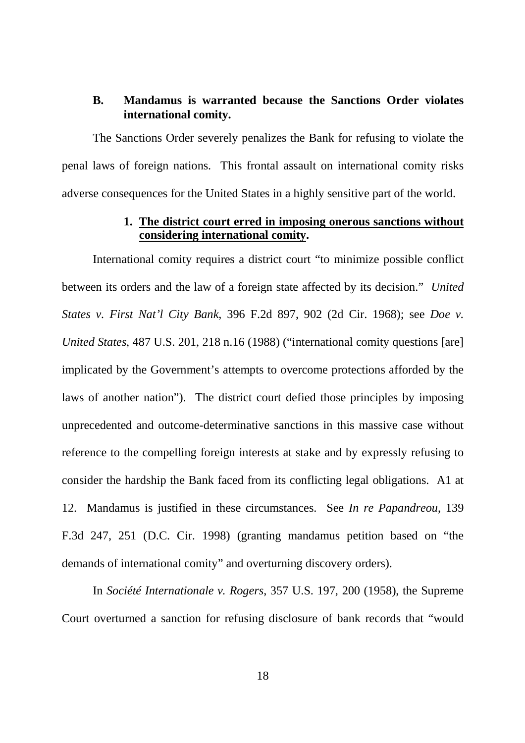# **B. Mandamus is warranted because the Sanctions Order violates international comity.**

The Sanctions Order severely penalizes the Bank for refusing to violate the penal laws of foreign nations. This frontal assault on international comity risks adverse consequences for the United States in a highly sensitive part of the world.

# **1. The district court erred in imposing onerous sanctions without considering international comity.**

International comity requires a district court "to minimize possible conflict between its orders and the law of a foreign state affected by its decision." *United States v. First Nat'l City Bank*, 396 F.2d 897, 902 (2d Cir. 1968); see *Doe v. United States*, 487 U.S. 201, 218 n.16 (1988) ("international comity questions [are] implicated by the Government's attempts to overcome protections afforded by the laws of another nation"). The district court defied those principles by imposing unprecedented and outcome-determinative sanctions in this massive case without reference to the compelling foreign interests at stake and by expressly refusing to consider the hardship the Bank faced from its conflicting legal obligations. A1 at 12. Mandamus is justified in these circumstances. See *In re Papandreou*, 139 F.3d 247, 251 (D.C. Cir. 1998) (granting mandamus petition based on "the demands of international comity" and overturning discovery orders).

In *Société Internationale v. Rogers*, 357 U.S. 197, 200 (1958), the Supreme Court overturned a sanction for refusing disclosure of bank records that "would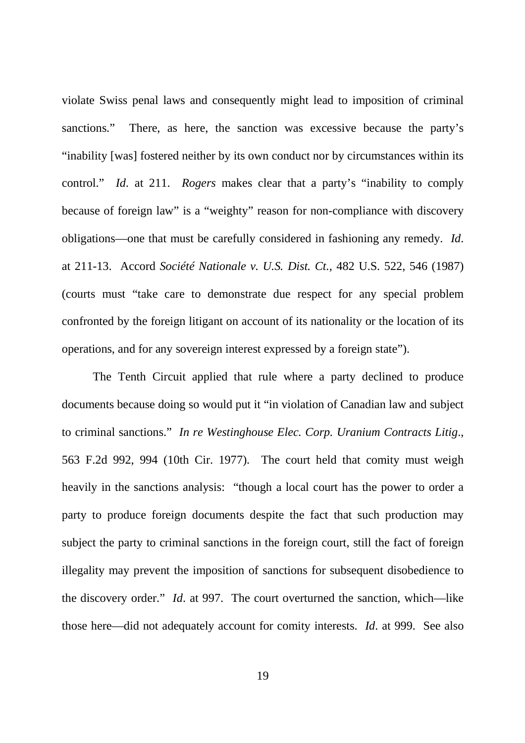violate Swiss penal laws and consequently might lead to imposition of criminal sanctions." There, as here, the sanction was excessive because the party's "inability [was] fostered neither by its own conduct nor by circumstances within its control." *Id*. at 211. *Rogers* makes clear that a party's "inability to comply because of foreign law" is a "weighty" reason for non-compliance with discovery obligations—one that must be carefully considered in fashioning any remedy. *Id*. at 211-13. Accord *Société Nationale v. U.S. Dist. Ct.*, 482 U.S. 522, 546 (1987) (courts must "take care to demonstrate due respect for any special problem confronted by the foreign litigant on account of its nationality or the location of its operations, and for any sovereign interest expressed by a foreign state").

The Tenth Circuit applied that rule where a party declined to produce documents because doing so would put it "in violation of Canadian law and subject to criminal sanctions." *In re Westinghouse Elec. Corp. Uranium Contracts Litig*., 563 F.2d 992, 994 (10th Cir. 1977). The court held that comity must weigh heavily in the sanctions analysis: "though a local court has the power to order a party to produce foreign documents despite the fact that such production may subject the party to criminal sanctions in the foreign court, still the fact of foreign illegality may prevent the imposition of sanctions for subsequent disobedience to the discovery order." *Id*. at 997. The court overturned the sanction, which—like those here—did not adequately account for comity interests. *Id*. at 999. See also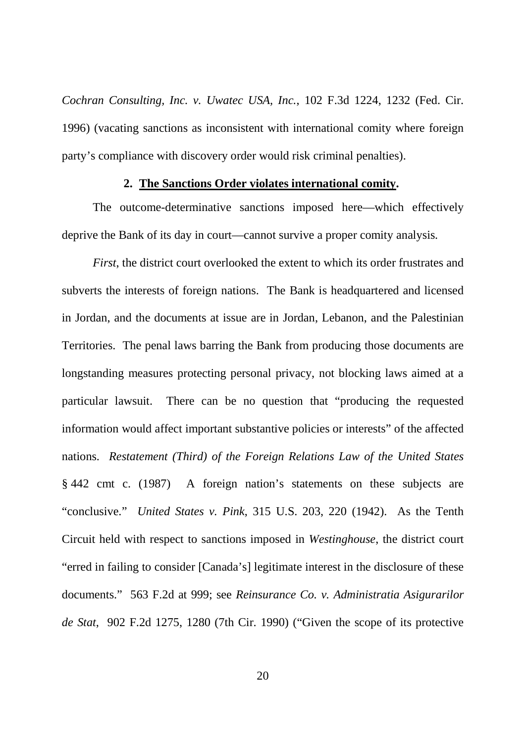*Cochran Consulting, Inc. v. Uwatec USA, Inc.*, 102 F.3d 1224, 1232 (Fed. Cir. 1996) (vacating sanctions as inconsistent with international comity where foreign party's compliance with discovery order would risk criminal penalties).

#### **2. The Sanctions Order violates international comity.**

The outcome-determinative sanctions imposed here—which effectively deprive the Bank of its day in court—cannot survive a proper comity analysis.

*First*, the district court overlooked the extent to which its order frustrates and subverts the interests of foreign nations. The Bank is headquartered and licensed in Jordan, and the documents at issue are in Jordan, Lebanon, and the Palestinian Territories. The penal laws barring the Bank from producing those documents are longstanding measures protecting personal privacy, not blocking laws aimed at a particular lawsuit. There can be no question that "producing the requested information would affect important substantive policies or interests" of the affected nations. *Restatement (Third) of the Foreign Relations Law of the United States* § 442 cmt c. (1987) A foreign nation's statements on these subjects are "conclusive." *United States v. Pink*, 315 U.S. 203, 220 (1942). As the Tenth Circuit held with respect to sanctions imposed in *Westinghouse*, the district court "erred in failing to consider [Canada's] legitimate interest in the disclosure of these documents." 563 F.2d at 999; see *Reinsurance Co. v. Administratia Asigurarilor de Stat*, 902 F.2d 1275, 1280 (7th Cir. 1990) ("Given the scope of its protective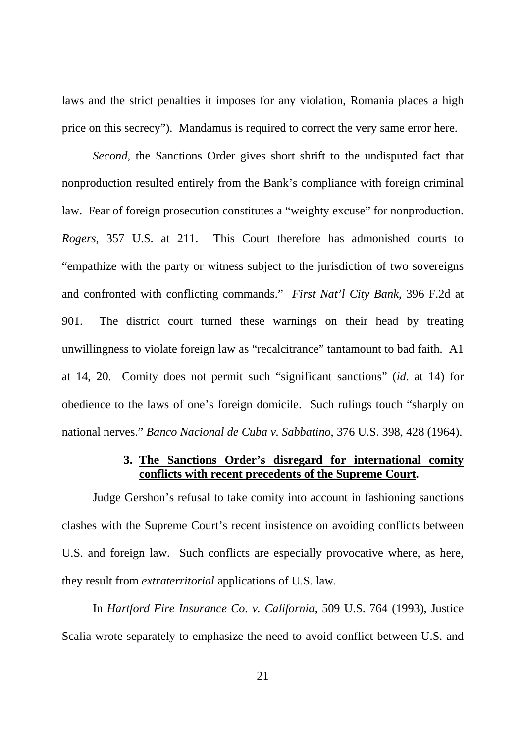laws and the strict penalties it imposes for any violation, Romania places a high price on this secrecy"). Mandamus is required to correct the very same error here.

*Second*, the Sanctions Order gives short shrift to the undisputed fact that nonproduction resulted entirely from the Bank's compliance with foreign criminal law. Fear of foreign prosecution constitutes a "weighty excuse" for nonproduction. *Rogers*, 357 U.S. at 211. This Court therefore has admonished courts to "empathize with the party or witness subject to the jurisdiction of two sovereigns and confronted with conflicting commands." *First Nat'l City Bank*, 396 F.2d at 901. The district court turned these warnings on their head by treating unwillingness to violate foreign law as "recalcitrance" tantamount to bad faith. A1 at 14, 20. Comity does not permit such "significant sanctions" (*id*. at 14) for obedience to the laws of one's foreign domicile. Such rulings touch "sharply on national nerves." *Banco Nacional de Cuba v. Sabbatino*, 376 U.S. 398, 428 (1964).

# **3. The Sanctions Order's disregard for international comity conflicts with recent precedents of the Supreme Court.**

Judge Gershon's refusal to take comity into account in fashioning sanctions clashes with the Supreme Court's recent insistence on avoiding conflicts between U.S. and foreign law. Such conflicts are especially provocative where, as here, they result from *extraterritorial* applications of U.S. law.

In *Hartford Fire Insurance Co. v. California*, 509 U.S. 764 (1993), Justice Scalia wrote separately to emphasize the need to avoid conflict between U.S. and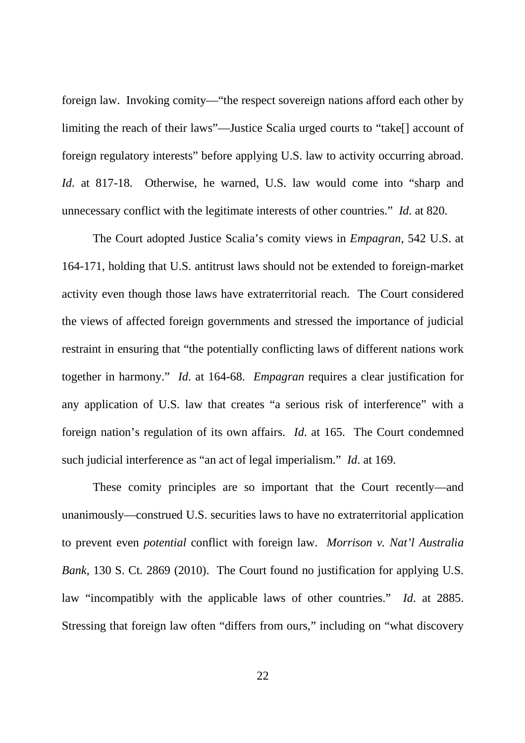foreign law. Invoking comity—"the respect sovereign nations afford each other by limiting the reach of their laws"—Justice Scalia urged courts to "take[] account of foreign regulatory interests" before applying U.S. law to activity occurring abroad. *Id*. at 817-18. Otherwise, he warned, U.S. law would come into "sharp and unnecessary conflict with the legitimate interests of other countries." *Id*. at 820.

The Court adopted Justice Scalia's comity views in *Empagran*, 542 U.S. at 164-171, holding that U.S. antitrust laws should not be extended to foreign-market activity even though those laws have extraterritorial reach. The Court considered the views of affected foreign governments and stressed the importance of judicial restraint in ensuring that "the potentially conflicting laws of different nations work together in harmony." *Id*. at 164-68. *Empagran* requires a clear justification for any application of U.S. law that creates "a serious risk of interference" with a foreign nation's regulation of its own affairs. *Id*. at 165. The Court condemned such judicial interference as "an act of legal imperialism." *Id*. at 169.

These comity principles are so important that the Court recently—and unanimously—construed U.S. securities laws to have no extraterritorial application to prevent even *potential* conflict with foreign law. *Morrison v. Nat'l Australia Bank*, 130 S. Ct. 2869 (2010). The Court found no justification for applying U.S. law "incompatibly with the applicable laws of other countries." *Id*. at 2885. Stressing that foreign law often "differs from ours," including on "what discovery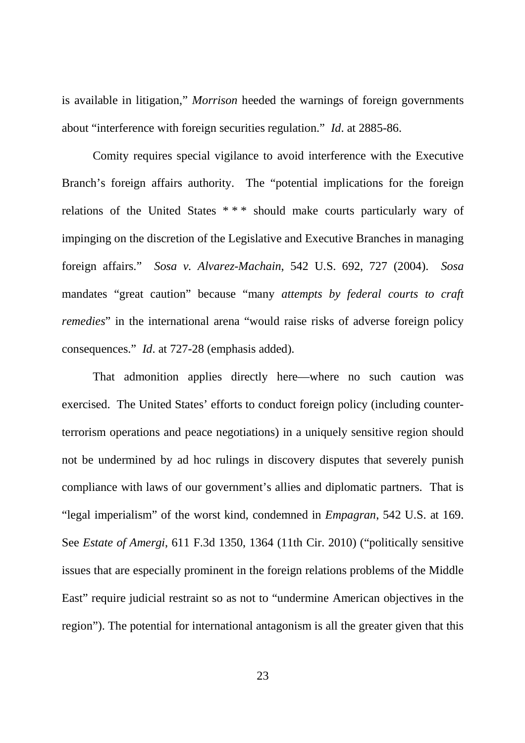is available in litigation," *Morrison* heeded the warnings of foreign governments about "interference with foreign securities regulation." *Id*. at 2885-86.

Comity requires special vigilance to avoid interference with the Executive Branch's foreign affairs authority. The "potential implications for the foreign relations of the United States \* \* \* should make courts particularly wary of impinging on the discretion of the Legislative and Executive Branches in managing foreign affairs." *Sosa v. Alvarez-Machain*, 542 U.S. 692, 727 (2004). *Sosa* mandates "great caution" because "many *attempts by federal courts to craft remedies*" in the international arena "would raise risks of adverse foreign policy consequences." *Id*. at 727-28 (emphasis added).

That admonition applies directly here—where no such caution was exercised. The United States' efforts to conduct foreign policy (including counterterrorism operations and peace negotiations) in a uniquely sensitive region should not be undermined by ad hoc rulings in discovery disputes that severely punish compliance with laws of our government's allies and diplomatic partners. That is "legal imperialism" of the worst kind, condemned in *Empagran*, 542 U.S. at 169. See *Estate of Amergi*, 611 F.3d 1350, 1364 (11th Cir. 2010) ("politically sensitive issues that are especially prominent in the foreign relations problems of the Middle East" require judicial restraint so as not to "undermine American objectives in the region"). The potential for international antagonism is all the greater given that this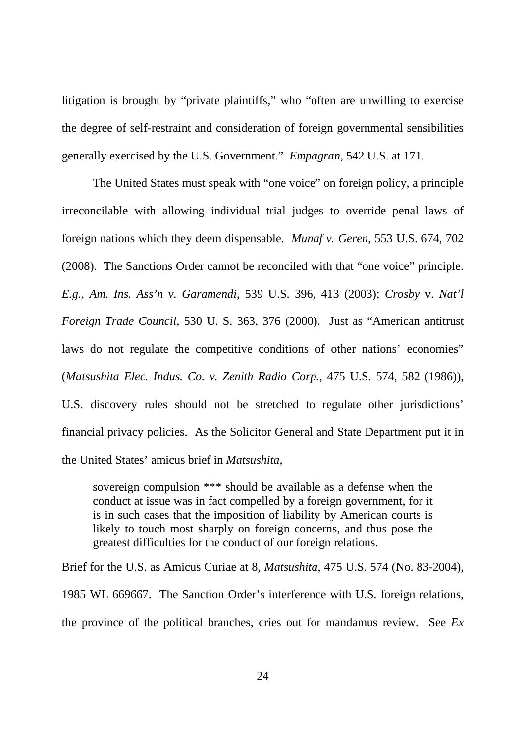litigation is brought by "private plaintiffs," who "often are unwilling to exercise the degree of self-restraint and consideration of foreign governmental sensibilities generally exercised by the U.S. Government." *Empagran*, 542 U.S. at 171.

The United States must speak with "one voice" on foreign policy, a principle irreconcilable with allowing individual trial judges to override penal laws of foreign nations which they deem dispensable. *Munaf v. Geren*, 553 U.S. 674, 702 (2008). The Sanctions Order cannot be reconciled with that "one voice" principle. *E.g.*, *Am. Ins. Ass'n v. Garamendi*, 539 U.S. 396, 413 (2003); *Crosby* v. *Nat'l Foreign Trade Council*, 530 U. S. 363, 376 (2000). Just as "American antitrust laws do not regulate the competitive conditions of other nations' economies" (*Matsushita Elec. Indus. Co. v. Zenith Radio Corp.*, 475 U.S. 574, 582 (1986)), U.S. discovery rules should not be stretched to regulate other jurisdictions' financial privacy policies. As the Solicitor General and State Department put it in the United States' amicus brief in *Matsushita*,

sovereign compulsion \*\*\* should be available as a defense when the conduct at issue was in fact compelled by a foreign government, for it is in such cases that the imposition of liability by American courts is likely to touch most sharply on foreign concerns, and thus pose the greatest difficulties for the conduct of our foreign relations.

Brief for the U.S. as Amicus Curiae at 8, *Matsushita*, 475 U.S. 574 (No. 83-2004), 1985 WL 669667. The Sanction Order's interference with U.S. foreign relations, the province of the political branches, cries out for mandamus review. See *Ex*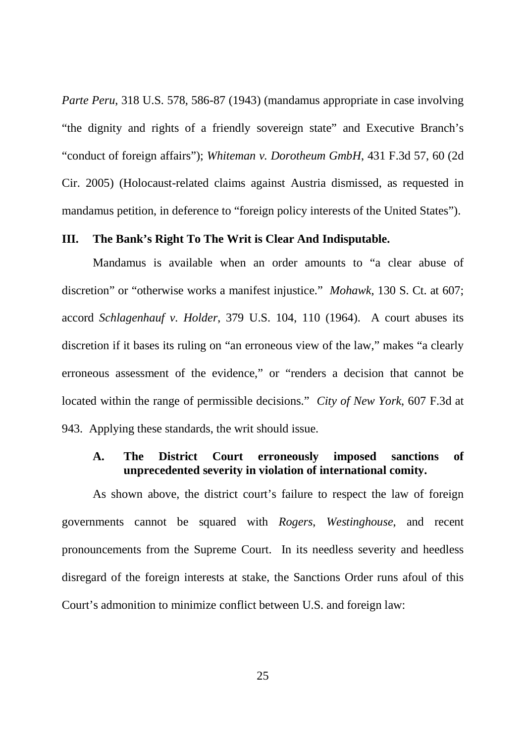*Parte Peru*, 318 U.S. 578, 586-87 (1943) (mandamus appropriate in case involving "the dignity and rights of a friendly sovereign state" and Executive Branch's "conduct of foreign affairs"); *Whiteman v. Dorotheum GmbH*, 431 F.3d 57, 60 (2d Cir. 2005) (Holocaust-related claims against Austria dismissed, as requested in mandamus petition, in deference to "foreign policy interests of the United States").

#### **III. The Bank's Right To The Writ is Clear And Indisputable.**

Mandamus is available when an order amounts to "a clear abuse of discretion" or "otherwise works a manifest injustice." *Mohawk*, 130 S. Ct. at 607; accord *Schlagenhauf v. Holder*, 379 U.S. 104, 110 (1964). A court abuses its discretion if it bases its ruling on "an erroneous view of the law," makes "a clearly erroneous assessment of the evidence," or "renders a decision that cannot be located within the range of permissible decisions." *City of New York*, 607 F.3d at 943. Applying these standards, the writ should issue.

# **A. The District Court erroneously imposed sanctions of unprecedented severity in violation of international comity.**

As shown above, the district court's failure to respect the law of foreign governments cannot be squared with *Rogers*, *Westinghouse*, and recent pronouncements from the Supreme Court. In its needless severity and heedless disregard of the foreign interests at stake, the Sanctions Order runs afoul of this Court's admonition to minimize conflict between U.S. and foreign law:

25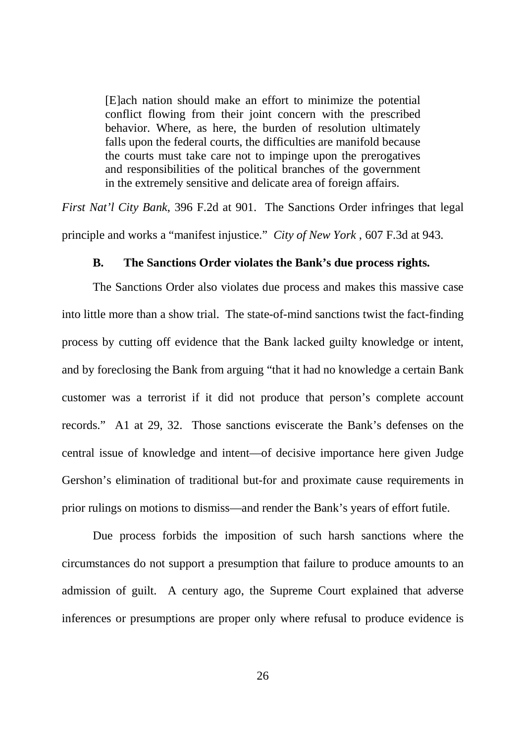[E]ach nation should make an effort to minimize the potential conflict flowing from their joint concern with the prescribed behavior. Where, as here, the burden of resolution ultimately falls upon the federal courts, the difficulties are manifold because the courts must take care not to impinge upon the prerogatives and responsibilities of the political branches of the government in the extremely sensitive and delicate area of foreign affairs.

*First Nat'l City Bank*, 396 F.2d at 901. The Sanctions Order infringes that legal principle and works a "manifest injustice." *City of New York* , 607 F.3d at 943.

#### **B. The Sanctions Order violates the Bank's due process rights.**

The Sanctions Order also violates due process and makes this massive case into little more than a show trial. The state-of-mind sanctions twist the fact-finding process by cutting off evidence that the Bank lacked guilty knowledge or intent, and by foreclosing the Bank from arguing "that it had no knowledge a certain Bank customer was a terrorist if it did not produce that person's complete account records." A1 at 29, 32. Those sanctions eviscerate the Bank's defenses on the central issue of knowledge and intent—of decisive importance here given Judge Gershon's elimination of traditional but-for and proximate cause requirements in prior rulings on motions to dismiss—and render the Bank's years of effort futile.

Due process forbids the imposition of such harsh sanctions where the circumstances do not support a presumption that failure to produce amounts to an admission of guilt. A century ago, the Supreme Court explained that adverse inferences or presumptions are proper only where refusal to produce evidence is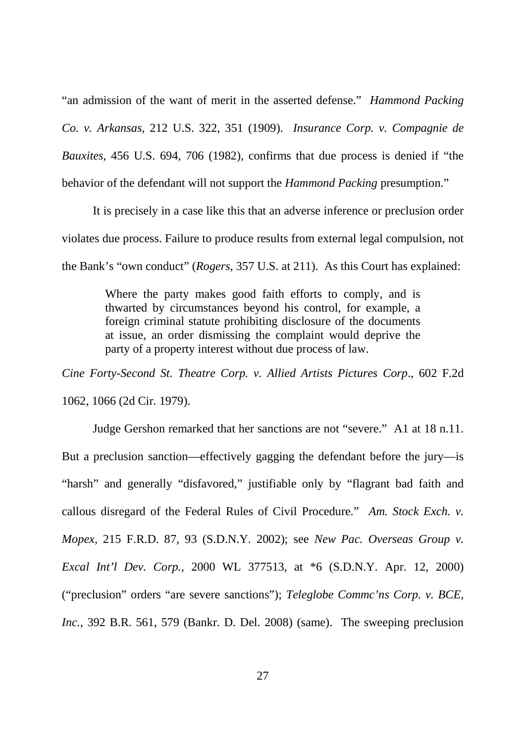"an admission of the want of merit in the asserted defense." *Hammond Packing Co. v. Arkansas*, 212 U.S. 322, 351 (1909). *Insurance Corp. v. Compagnie de Bauxites*, 456 U.S. 694, 706 (1982), confirms that due process is denied if "the behavior of the defendant will not support the *Hammond Packing* presumption."

It is precisely in a case like this that an adverse inference or preclusion order violates due process. Failure to produce results from external legal compulsion, not the Bank's "own conduct" (*Rogers*, 357 U.S. at 211). As this Court has explained:

> Where the party makes good faith efforts to comply, and is thwarted by circumstances beyond his control, for example, a foreign criminal statute prohibiting disclosure of the documents at issue, an order dismissing the complaint would deprive the party of a property interest without due process of law.

*Cine Forty-Second St. Theatre Corp. v. Allied Artists Pictures Corp*., 602 F.2d 1062, 1066 (2d Cir. 1979).

Judge Gershon remarked that her sanctions are not "severe." A1 at 18 n.11. But a preclusion sanction—effectively gagging the defendant before the jury—is "harsh" and generally "disfavored," justifiable only by "flagrant bad faith and callous disregard of the Federal Rules of Civil Procedure." *Am. Stock Exch. v. Mopex*, 215 F.R.D. 87, 93 (S.D.N.Y. 2002); see *New Pac. Overseas Group v. Excal Int'l Dev. Corp.*, 2000 WL 377513, at \*6 (S.D.N.Y. Apr. 12, 2000) ("preclusion" orders "are severe sanctions"); *Teleglobe Commc'ns Corp. v. BCE, Inc.*, 392 B.R. 561, 579 (Bankr. D. Del. 2008) (same). The sweeping preclusion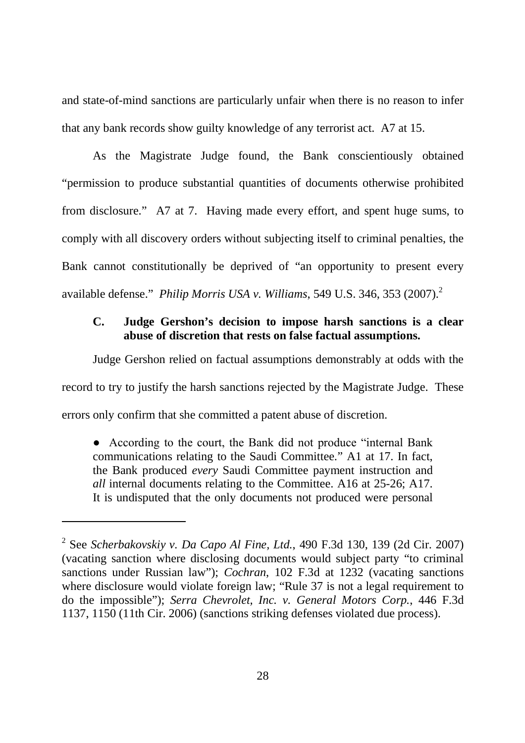and state-of-mind sanctions are particularly unfair when there is no reason to infer that any bank records show guilty knowledge of any terrorist act. A7 at 15.

As the Magistrate Judge found, the Bank conscientiously obtained "permission to produce substantial quantities of documents otherwise prohibited from disclosure." A7 at 7. Having made every effort, and spent huge sums, to comply with all discovery orders without subjecting itself to criminal penalties, the Bank cannot constitutionally be deprived of "an opportunity to present every available defense." *Philip Morris USA v. Williams*, 549 U.S. 346, 353 (2007).<sup>2</sup>

# **C. Judge Gershon's decision to impose harsh sanctions is a clear abuse of discretion that rests on false factual assumptions.**

Judge Gershon relied on factual assumptions demonstrably at odds with the record to try to justify the harsh sanctions rejected by the Magistrate Judge. These errors only confirm that she committed a patent abuse of discretion.

● According to the court, the Bank did not produce "internal Bank communications relating to the Saudi Committee." A1 at 17. In fact, the Bank produced *every* Saudi Committee payment instruction and *all* internal documents relating to the Committee. A16 at 25-26; A17. It is undisputed that the only documents not produced were personal

<sup>2</sup> See *Scherbakovskiy v. Da Capo Al Fine, Ltd.*, 490 F.3d 130, 139 (2d Cir. 2007) (vacating sanction where disclosing documents would subject party "to criminal sanctions under Russian law"); *Cochran*, 102 F.3d at 1232 (vacating sanctions where disclosure would violate foreign law; "Rule 37 is not a legal requirement to do the impossible"); *Serra Chevrolet, Inc. v. General Motors Corp.*, 446 F.3d 1137, 1150 (11th Cir. 2006) (sanctions striking defenses violated due process).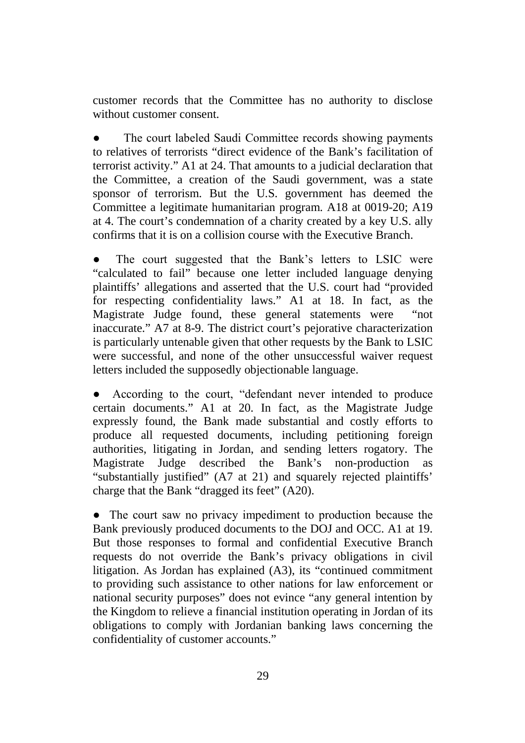customer records that the Committee has no authority to disclose without customer consent.

The court labeled Saudi Committee records showing payments to relatives of terrorists "direct evidence of the Bank's facilitation of terrorist activity." A1 at 24. That amounts to a judicial declaration that the Committee, a creation of the Saudi government, was a state sponsor of terrorism. But the U.S. government has deemed the Committee a legitimate humanitarian program. A18 at 0019-20; A19 at 4. The court's condemnation of a charity created by a key U.S. ally confirms that it is on a collision course with the Executive Branch.

The court suggested that the Bank's letters to LSIC were "calculated to fail" because one letter included language denying plaintiffs' allegations and asserted that the U.S. court had "provided for respecting confidentiality laws." A1 at 18. In fact, as the Magistrate Judge found, these general statements were "not inaccurate." A7 at 8-9. The district court's pejorative characterization is particularly untenable given that other requests by the Bank to LSIC were successful, and none of the other unsuccessful waiver request letters included the supposedly objectionable language.

● According to the court, "defendant never intended to produce certain documents." A1 at 20. In fact, as the Magistrate Judge expressly found, the Bank made substantial and costly efforts to produce all requested documents, including petitioning foreign authorities, litigating in Jordan, and sending letters rogatory. The Magistrate Judge described the Bank's non-production as "substantially justified" (A7 at 21) and squarely rejected plaintiffs' charge that the Bank "dragged its feet" (A20).

• The court saw no privacy impediment to production because the Bank previously produced documents to the DOJ and OCC. A1 at 19. But those responses to formal and confidential Executive Branch requests do not override the Bank's privacy obligations in civil litigation. As Jordan has explained (A3), its "continued commitment to providing such assistance to other nations for law enforcement or national security purposes" does not evince "any general intention by the Kingdom to relieve a financial institution operating in Jordan of its obligations to comply with Jordanian banking laws concerning the confidentiality of customer accounts."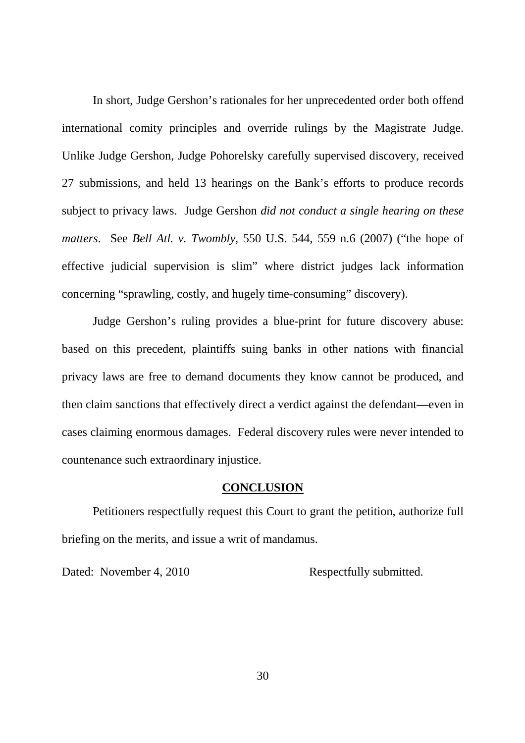In short, Judge Gershon's rationales for her unprecedented order both offend international comity principles and override rulings by the Magistrate Judge. Unlike Judge Gershon, Judge Pohorelsky carefully supervised discovery, received 27 submissions, and held 13 hearings on the Bank's efforts to produce records subject to privacy laws. Judge Gershon *did not conduct a single hearing on these matters*. See *Bell Atl. v. Twombly*, 550 U.S. 544, 559 n.6 (2007) ("the hope of effective judicial supervision is slim" where district judges lack information concerning "sprawling, costly, and hugely time-consuming" discovery).

Judge Gershon's ruling provides a blue-print for future discovery abuse: based on this precedent, plaintiffs suing banks in other nations with financial privacy laws are free to demand documents they know cannot be produced, and then claim sanctions that effectively direct a verdict against the defendant—even in cases claiming enormous damages. Federal discovery rules were never intended to countenance such extraordinary injustice.

#### **CONCLUSION**

Petitioners respectfully request this Court to grant the petition, authorize full briefing on the merits, and issue a writ of mandamus.

Dated: November 4, 2010 Respectfully submitted.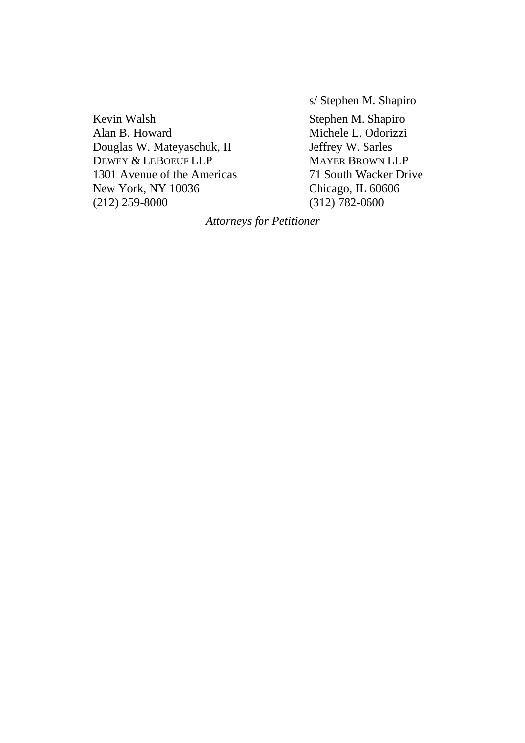s/ Stephen M. Shapiro

Kevin Walsh Stephen M. Shapiro Alan B. Howard Michele L. Odorizzi Douglas W. Mateyaschuk, II Jeffrey W. Sarles DEWEY & LEBOEUF LLP MAYER BROWN LLP 1301 Avenue of the Americas 71 South Wacker Drive New York, NY 10036 Chicago, IL 60606 (212) 259-8000 (312) 782-0600

*Attorneys for Petitioner*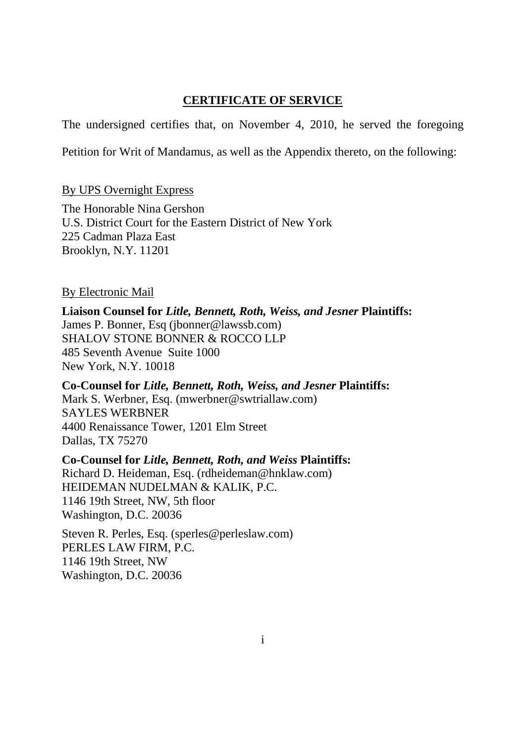# **CERTIFICATE OF SERVICE**

The undersigned certifies that, on November 4, 2010, he served the foregoing

Petition for Writ of Mandamus, as well as the Appendix thereto, on the following:

# By UPS Overnight Express

The Honorable Nina Gershon U.S. District Court for the Eastern District of New York 225 Cadman Plaza East Brooklyn, N.Y. 11201

# By Electronic Mail

**Liaison Counsel for** *Litle, Bennett, Roth, Weiss, and Jesner* **Plaintiffs:** James P. Bonner, Esq (jbonner@lawssb.com) SHALOV STONE BONNER & ROCCO LLP 485 Seventh Avenue Suite 1000 New York, N.Y. 10018

**Co-Counsel for** *Litle, Bennett, Roth, Weiss, and Jesner* **Plaintiffs:** Mark S. Werbner, Esq. (mwerbner@swtriallaw.com) SAYLES WERBNER 4400 Renaissance Tower, 1201 Elm Street Dallas, TX 75270

**Co-Counsel for** *Litle, Bennett, Roth, and Weiss* **Plaintiffs:** Richard D. Heideman, Esq. (rdheideman@hnklaw.com) HEIDEMAN NUDELMAN & KALIK, P.C. 1146 19th Street, NW, 5th floor Washington, D.C. 20036

Steven R. Perles, Esq. (sperles@perleslaw.com) PERLES LAW FIRM, P.C. 1146 19th Street, NW Washington, D.C. 20036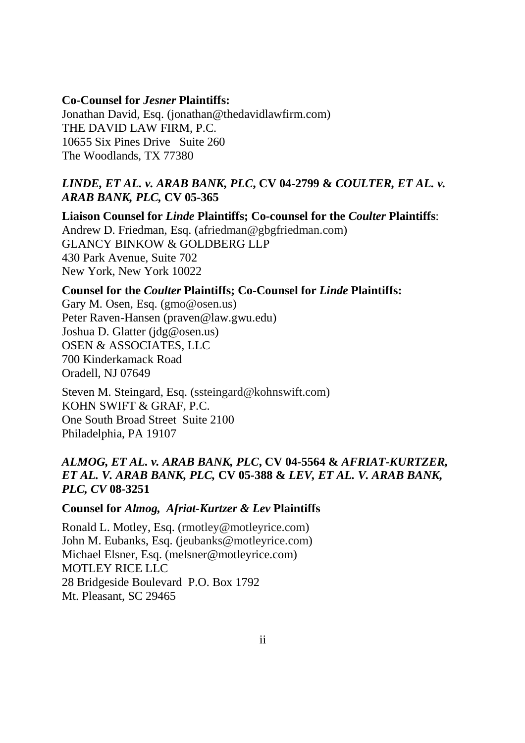#### **Co-Counsel for** *Jesner* **Plaintiffs:**

Jonathan David, Esq. (jonathan@thedavidlawfirm.com) THE DAVID LAW FIRM, P.C. 10655 Six Pines Drive Suite 260 The Woodlands, TX 77380

# *LINDE, ET AL. v. ARAB BANK, PLC***, CV 04-2799 &** *COULTER, ET AL. v. ARAB BANK, PLC,* **CV 05-365**

**Liaison Counsel for** *Linde* **Plaintiffs; Co-counsel for the** *Coulter* **Plaintiffs**: Andrew D. Friedman, Esq. (afriedman@gbgfriedman.com) GLANCY BINKOW & GOLDBERG LLP 430 Park Avenue, Suite 702 New York, New York 10022

#### **Counsel for the** *Coulter* **Plaintiffs; Co-Counsel for** *Linde* **Plaintiffs:**

Gary M. Osen, Esq. (gmo@osen.us) Peter Raven-Hansen (praven@law.gwu.edu) Joshua D. Glatter (jdg@osen.us) OSEN & ASSOCIATES, LLC 700 Kinderkamack Road Oradell, NJ 07649

Steven M. Steingard, Esq. (ssteingard@kohnswift.com) KOHN SWIFT & GRAF, P.C. One South Broad Street Suite 2100 Philadelphia, PA 19107

# *ALMOG, ET AL. v. ARAB BANK, PLC***, CV 04-5564 &** *AFRIAT-KURTZER, ET AL. V. ARAB BANK, PLC,* **CV 05-388 &** *LEV, ET AL. V. ARAB BANK, PLC, CV* **08-3251**

## **Counsel for** *Almog, Afriat-Kurtzer & Lev* **Plaintiffs**

Ronald L. Motley, Esq. (rmotley@motleyrice.com) John M. Eubanks, Esq. (jeubanks@motleyrice.com) Michael Elsner, Esq. (melsner@motleyrice.com) MOTLEY RICE LLC 28 Bridgeside Boulevard P.O. Box 1792 Mt. Pleasant, SC 29465